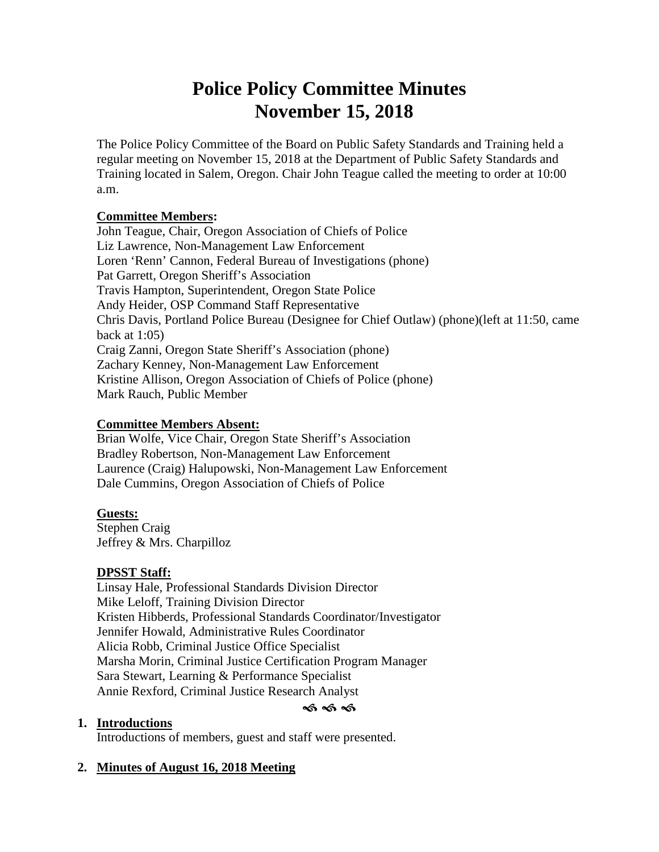# **Police Policy Committee Minutes November 15, 2018**

The Police Policy Committee of the Board on Public Safety Standards and Training held a regular meeting on November 15, 2018 at the Department of Public Safety Standards and Training located in Salem, Oregon. Chair John Teague called the meeting to order at 10:00 a.m.

#### **Committee Members:**

John Teague, Chair, Oregon Association of Chiefs of Police Liz Lawrence, Non-Management Law Enforcement Loren 'Renn' Cannon, Federal Bureau of Investigations (phone) Pat Garrett, Oregon Sheriff's Association Travis Hampton, Superintendent, Oregon State Police Andy Heider, OSP Command Staff Representative Chris Davis, Portland Police Bureau (Designee for Chief Outlaw) (phone)(left at 11:50, came back at 1:05) Craig Zanni, Oregon State Sheriff's Association (phone) Zachary Kenney, Non-Management Law Enforcement Kristine Allison, Oregon Association of Chiefs of Police (phone) Mark Rauch, Public Member

#### **Committee Members Absent:**

Brian Wolfe, Vice Chair, Oregon State Sheriff's Association Bradley Robertson, Non-Management Law Enforcement Laurence (Craig) Halupowski, Non-Management Law Enforcement Dale Cummins, Oregon Association of Chiefs of Police

#### **Guests:**

Stephen Craig Jeffrey & Mrs. Charpilloz

#### **DPSST Staff:**

Linsay Hale, Professional Standards Division Director Mike Leloff, Training Division Director Kristen Hibberds, Professional Standards Coordinator/Investigator Jennifer Howald, Administrative Rules Coordinator Alicia Robb, Criminal Justice Office Specialist Marsha Morin, Criminal Justice Certification Program Manager Sara Stewart, Learning & Performance Specialist Annie Rexford, Criminal Justice Research Analyst

ৰ্ক ৰ্ক ৰ্ক

#### **1. Introductions**

Introductions of members, guest and staff were presented.

# **2. Minutes of August 16, 2018 Meeting**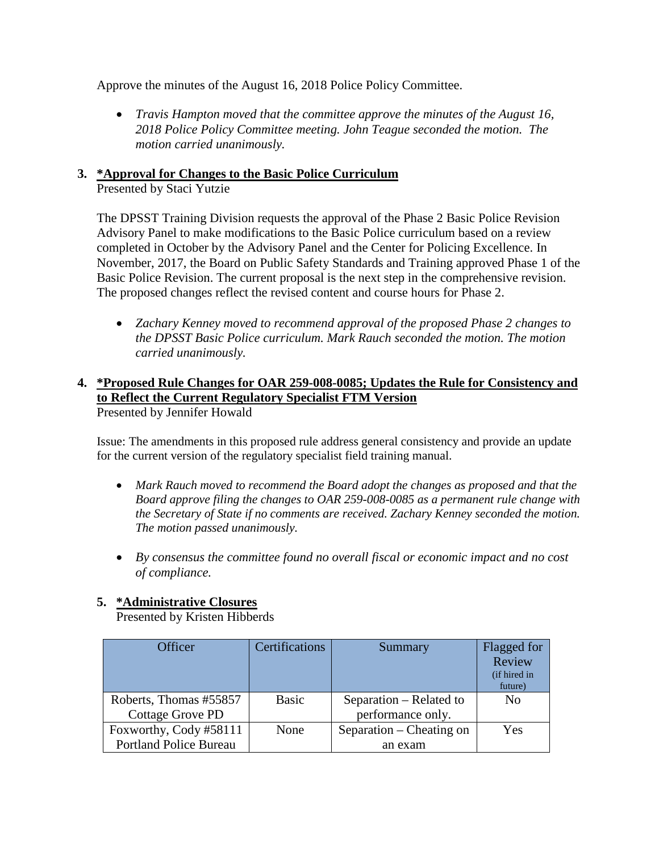Approve the minutes of the August 16, 2018 Police Policy Committee.

• *Travis Hampton moved that the committee approve the minutes of the August 16, 2018 Police Policy Committee meeting. John Teague seconded the motion. The motion carried unanimously.*

#### **3. \*Approval for Changes to the Basic Police Curriculum** Presented by Staci Yutzie

The DPSST Training Division requests the approval of the Phase 2 Basic Police Revision Advisory Panel to make modifications to the Basic Police curriculum based on a review completed in October by the Advisory Panel and the Center for Policing Excellence. In November, 2017, the Board on Public Safety Standards and Training approved Phase 1 of the Basic Police Revision. The current proposal is the next step in the comprehensive revision. The proposed changes reflect the revised content and course hours for Phase 2.

• *Zachary Kenney moved to recommend approval of the proposed Phase 2 changes to the DPSST Basic Police curriculum. Mark Rauch seconded the motion. The motion carried unanimously.*

## **4. \*Proposed Rule Changes for OAR 259-008-0085; Updates the Rule for Consistency and to Reflect the Current Regulatory Specialist FTM Version**

Presented by Jennifer Howald

Issue: The amendments in this proposed rule address general consistency and provide an update for the current version of the regulatory specialist field training manual.

- *Mark Rauch moved to recommend the Board adopt the changes as proposed and that the Board approve filing the changes to OAR 259-008-0085 as a permanent rule change with the Secretary of State if no comments are received. Zachary Kenney seconded the motion. The motion passed unanimously.*
- *By consensus the committee found no overall fiscal or economic impact and no cost of compliance.*

#### **5. \*Administrative Closures**

Presented by Kristen Hibberds

| Officer                       | Certifications | Summary                  | Flagged for    |
|-------------------------------|----------------|--------------------------|----------------|
|                               |                |                          | Review         |
|                               |                |                          | (if hired in   |
|                               |                |                          | future)        |
| Roberts, Thomas #55857        | <b>Basic</b>   | Separation – Related to  | N <sub>0</sub> |
| <b>Cottage Grove PD</b>       |                | performance only.        |                |
| Foxworthy, Cody #58111        | None           | Separation – Cheating on | Yes            |
| <b>Portland Police Bureau</b> |                | an exam                  |                |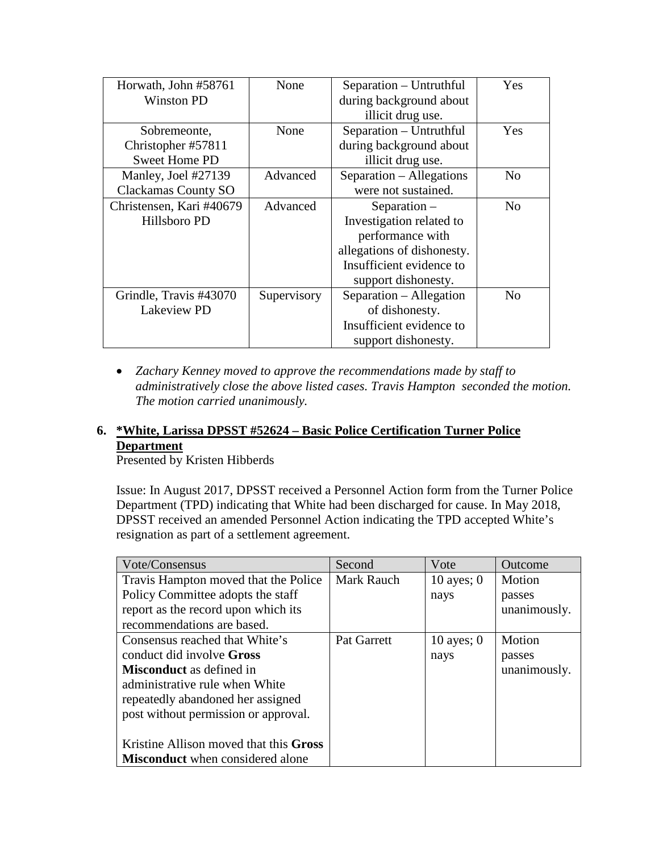| Horwath, John #58761       | None        | Separation – Untruthful    | Yes            |
|----------------------------|-------------|----------------------------|----------------|
| Winston PD                 |             | during background about    |                |
|                            |             | illicit drug use.          |                |
| Sobremeonte,               | None        | Separation - Untruthful    | Yes            |
| Christopher #57811         |             | during background about    |                |
| <b>Sweet Home PD</b>       |             | illicit drug use.          |                |
| Manley, Joel #27139        | Advanced    | Separation – Allegations   | N <sub>0</sub> |
| <b>Clackamas County SO</b> |             | were not sustained.        |                |
| Christensen, Kari #40679   | Advanced    | Separation –               | No             |
| Hillsboro PD               |             | Investigation related to   |                |
|                            |             | performance with           |                |
|                            |             | allegations of dishonesty. |                |
|                            |             | Insufficient evidence to   |                |
|                            |             | support dishonesty.        |                |
| Grindle, Travis #43070     | Supervisory | Separation – Allegation    | N <sub>o</sub> |
| Lakeview PD                |             | of dishonesty.             |                |
|                            |             | Insufficient evidence to   |                |
|                            |             | support dishonesty.        |                |

• *Zachary Kenney moved to approve the recommendations made by staff to administratively close the above listed cases. Travis Hampton seconded the motion. The motion carried unanimously.* 

## **6. \*White, Larissa DPSST #52624 – Basic Police Certification Turner Police Department**

Presented by Kristen Hibberds

Issue: In August 2017, DPSST received a Personnel Action form from the Turner Police Department (TPD) indicating that White had been discharged for cause. In May 2018, DPSST received an amended Personnel Action indicating the TPD accepted White's resignation as part of a settlement agreement.

| Vote/Consensus                          | Second             | Vote         | Outcome      |
|-----------------------------------------|--------------------|--------------|--------------|
| Travis Hampton moved that the Police    | <b>Mark Rauch</b>  | 10 ayes; $0$ | Motion       |
| Policy Committee adopts the staff       |                    | nays         | passes       |
| report as the record upon which its     |                    |              | unanimously. |
| recommendations are based.              |                    |              |              |
| Consensus reached that White's          | <b>Pat Garrett</b> | 10 ayes; $0$ | Motion       |
| conduct did involve <b>Gross</b>        |                    | nays         | passes       |
| <b>Misconduct</b> as defined in         |                    |              | unanimously. |
| administrative rule when White          |                    |              |              |
| repeatedly abandoned her assigned       |                    |              |              |
| post without permission or approval.    |                    |              |              |
|                                         |                    |              |              |
| Kristine Allison moved that this Gross  |                    |              |              |
| <b>Misconduct</b> when considered alone |                    |              |              |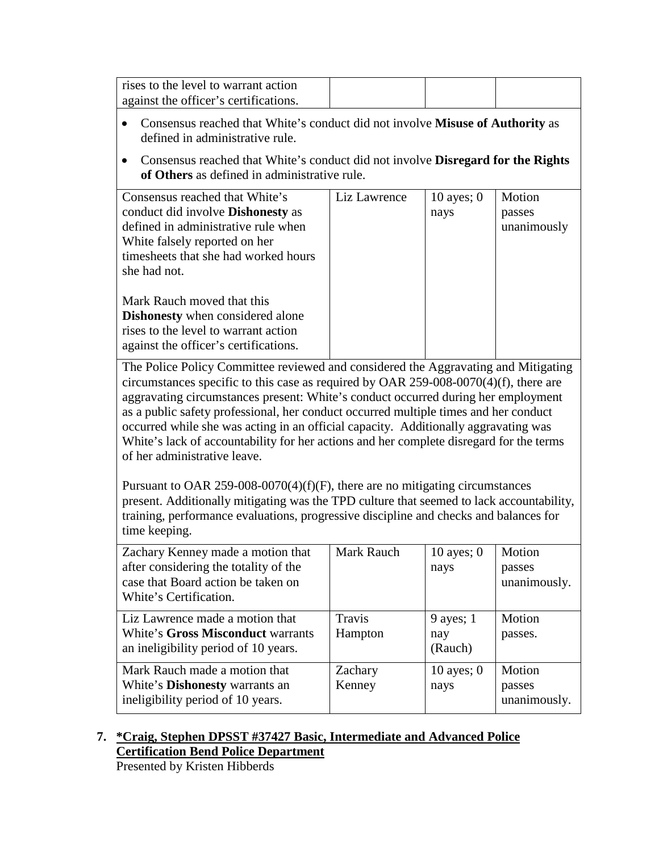| rises to the level to warrant action  |  |  |
|---------------------------------------|--|--|
| against the officer's certifications. |  |  |

- Consensus reached that White's conduct did not involve **Misuse of Authority** as defined in administrative rule.
- Consensus reached that White's conduct did not involve **Disregard for the Rights of Others** as defined in administrative rule.

| Consensus reached that White's           | Liz Lawrence | 10 ayes; $0$ | Motion      |
|------------------------------------------|--------------|--------------|-------------|
| conduct did involve <b>Dishonesty</b> as |              | nays         | passes      |
| defined in administrative rule when      |              |              | unanimously |
| White falsely reported on her            |              |              |             |
| timesheets that she had worked hours     |              |              |             |
| she had not.                             |              |              |             |
|                                          |              |              |             |
| Mark Rauch moved that this               |              |              |             |
| <b>Dishonesty</b> when considered alone  |              |              |             |
| rises to the level to warrant action     |              |              |             |
| against the officer's certifications.    |              |              |             |
|                                          |              |              |             |

The Police Policy Committee reviewed and considered the Aggravating and Mitigating circumstances specific to this case as required by OAR 259-008-0070(4)(f), there are aggravating circumstances present: White's conduct occurred during her employment as a public safety professional, her conduct occurred multiple times and her conduct occurred while she was acting in an official capacity. Additionally aggravating was White's lack of accountability for her actions and her complete disregard for the terms of her administrative leave.

Pursuant to OAR 259-008-0070(4)(f)(F), there are no mitigating circumstances present. Additionally mitigating was the TPD culture that seemed to lack accountability, training, performance evaluations, progressive discipline and checks and balances for time keeping.

| Zachary Kenney made a motion that<br>after considering the totality of the<br>case that Board action be taken on<br>White's Certification. | Mark Rauch        | 10 ayes; $0$<br>nays          | Motion<br>passes<br>unanimously. |
|--------------------------------------------------------------------------------------------------------------------------------------------|-------------------|-------------------------------|----------------------------------|
| Liz Lawrence made a motion that<br><b>White's Gross Misconduct warrants</b><br>an ineligibility period of 10 years.                        | Travis<br>Hampton | 9 ayes; $1$<br>nay<br>(Rauch) | Motion<br>passes.                |
| Mark Rauch made a motion that<br>White's <b>Dishonesty</b> warrants an<br>ineligibility period of 10 years.                                | Zachary<br>Kenney | 10 ayes; $0$<br>nays          | Motion<br>passes<br>unanimously. |

# **7. \*Craig, Stephen DPSST #37427 Basic, Intermediate and Advanced Police Certification Bend Police Department**

Presented by Kristen Hibberds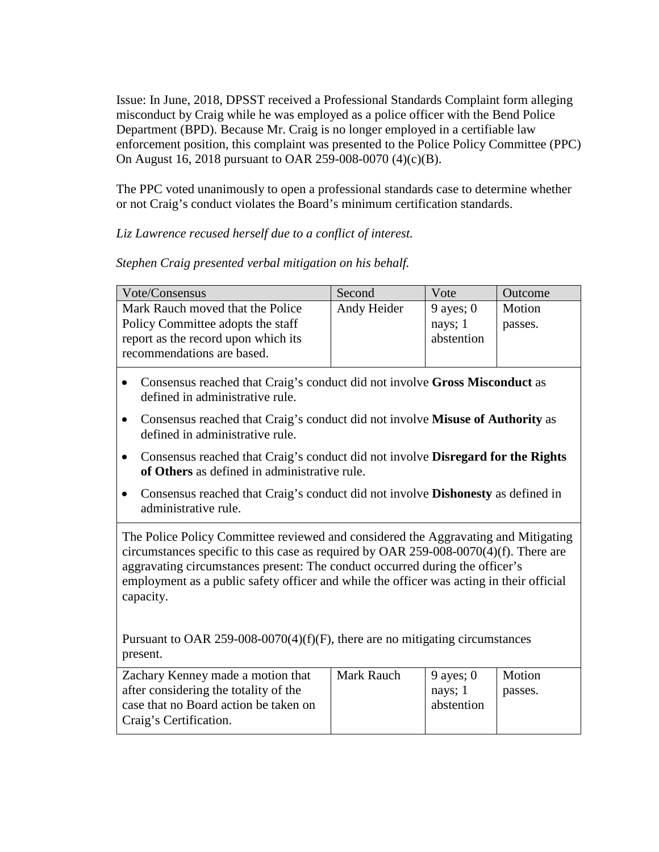Issue: In June, 2018, DPSST received a Professional Standards Complaint form alleging misconduct by Craig while he was employed as a police officer with the Bend Police Department (BPD). Because Mr. Craig is no longer employed in a certifiable law enforcement position, this complaint was presented to the Police Policy Committee (PPC) On August 16, 2018 pursuant to OAR 259-008-0070 (4)(c)(B).

The PPC voted unanimously to open a professional standards case to determine whether or not Craig's conduct violates the Board's minimum certification standards.

# *Liz Lawrence recused herself due to a conflict of interest.*

# *Stephen Craig presented verbal mitigation on his behalf.*

| Vote/Consensus                      | Second      | Vote       | Outcome |
|-------------------------------------|-------------|------------|---------|
| Mark Rauch moved that the Police    | Andy Heider | 9 ayes; 0  | Motion  |
| Policy Committee adopts the staff   |             | nays; $1$  | passes. |
| report as the record upon which its |             | abstention |         |
| recommendations are based.          |             |            |         |

- Consensus reached that Craig's conduct did not involve **Gross Misconduct** as defined in administrative rule.
- Consensus reached that Craig's conduct did not involve **Misuse of Authority** as defined in administrative rule.
- Consensus reached that Craig's conduct did not involve **Disregard for the Rights of Others** as defined in administrative rule.
- Consensus reached that Craig's conduct did not involve **Dishonesty** as defined in administrative rule.

The Police Policy Committee reviewed and considered the Aggravating and Mitigating circumstances specific to this case as required by OAR 259-008-0070(4)(f). There are aggravating circumstances present: The conduct occurred during the officer's employment as a public safety officer and while the officer was acting in their official capacity.

Pursuant to OAR 259-008-0070(4)(f)(F), there are no mitigating circumstances present.

| Zachary Kenney made a motion that     | Mark Rauch | $\vert$ 9 ayes; 0 | Motion  |
|---------------------------------------|------------|-------------------|---------|
| after considering the totality of the |            | nays; 1           | passes. |
| case that no Board action be taken on |            | abstention        |         |
| Craig's Certification.                |            |                   |         |
|                                       |            |                   |         |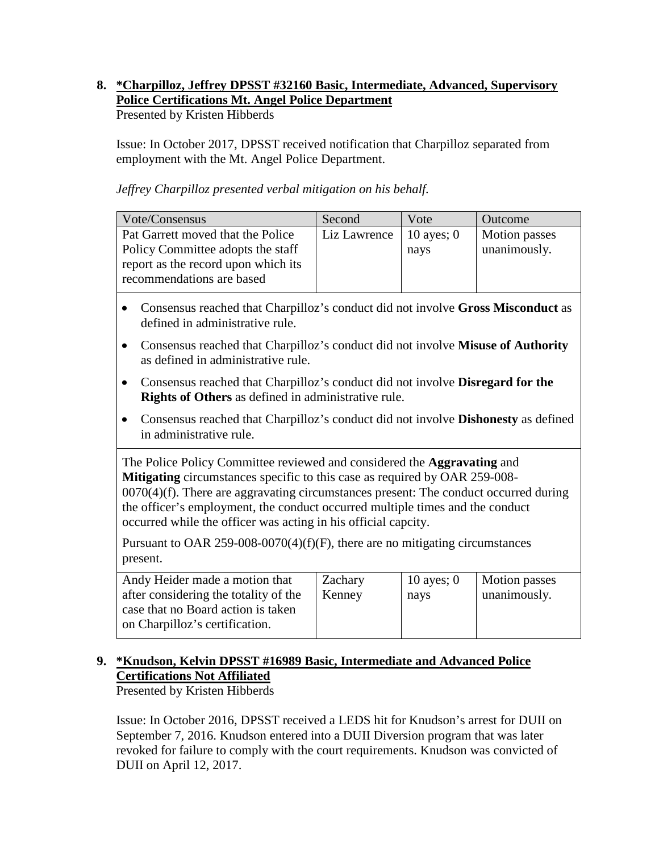#### **8. \*Charpilloz, Jeffrey DPSST #32160 Basic, Intermediate, Advanced, Supervisory Police Certifications Mt. Angel Police Department** Presented by Kristen Hibberds

Issue: In October 2017, DPSST received notification that Charpilloz separated from employment with the Mt. Angel Police Department.

*Jeffrey Charpilloz presented verbal mitigation on his behalf.*

| Vote/Consensus                           | Second       | Vote         | Outcome       |
|------------------------------------------|--------------|--------------|---------------|
| <b>Pat Garrett moved that the Police</b> | Liz Lawrence | 10 ayes; $0$ | Motion passes |
| Policy Committee adopts the staff        |              | nays         | unanimously.  |
| report as the record upon which its      |              |              |               |
| recommendations are based                |              |              |               |
|                                          |              |              |               |

- Consensus reached that Charpilloz's conduct did not involve **Gross Misconduct** as defined in administrative rule.
- Consensus reached that Charpilloz's conduct did not involve **Misuse of Authority** as defined in administrative rule.
- Consensus reached that Charpilloz's conduct did not involve **Disregard for the Rights of Others** as defined in administrative rule.
- Consensus reached that Charpilloz's conduct did not involve **Dishonesty** as defined in administrative rule.

The Police Policy Committee reviewed and considered the **Aggravating** and **Mitigating** circumstances specific to this case as required by OAR 259-008- 0070(4)(f). There are aggravating circumstances present: The conduct occurred during the officer's employment, the conduct occurred multiple times and the conduct occurred while the officer was acting in his official capcity.

Pursuant to OAR 259-008-0070(4)(f)(F), there are no mitigating circumstances present.

| Andy Heider made a motion that        | Zachary | 10 ayes; $0$ | <b>Motion</b> passes |
|---------------------------------------|---------|--------------|----------------------|
| after considering the totality of the | Kenney  | nays         | unanimously.         |
| case that no Board action is taken    |         |              |                      |
| on Charpilloz's certification.        |         |              |                      |
|                                       |         |              |                      |

# **9. \*Knudson, Kelvin DPSST #16989 Basic, Intermediate and Advanced Police Certifications Not Affiliated**

Presented by Kristen Hibberds

Issue: In October 2016, DPSST received a LEDS hit for Knudson's arrest for DUII on September 7, 2016. Knudson entered into a DUII Diversion program that was later revoked for failure to comply with the court requirements. Knudson was convicted of DUII on April 12, 2017.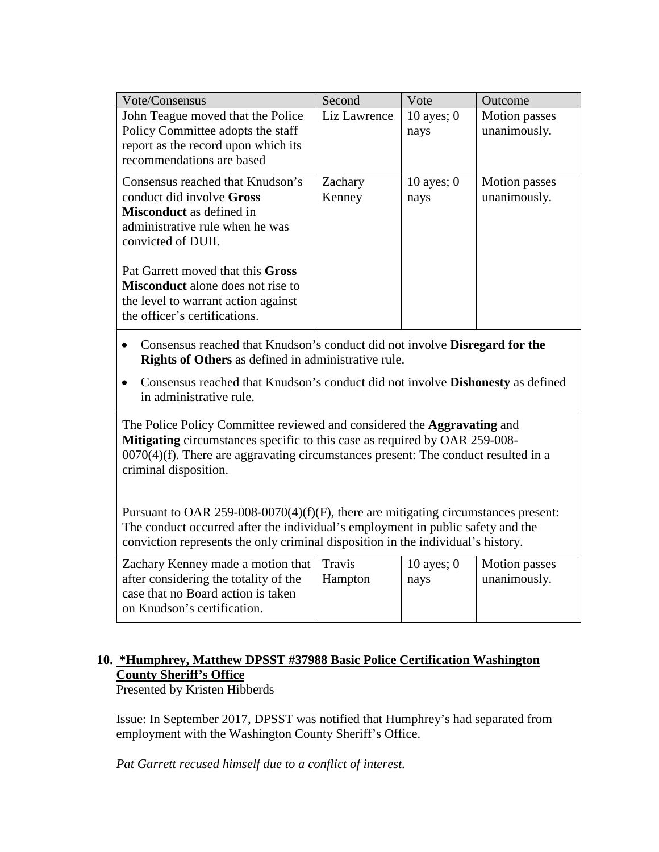| Vote/Consensus                                                                                                                                                                                                                                                                                                                                                | Second                   | Vote                 | Outcome                              |  |
|---------------------------------------------------------------------------------------------------------------------------------------------------------------------------------------------------------------------------------------------------------------------------------------------------------------------------------------------------------------|--------------------------|----------------------|--------------------------------------|--|
| John Teague moved that the Police<br>Policy Committee adopts the staff<br>report as the record upon which its<br>recommendations are based                                                                                                                                                                                                                    | Liz Lawrence             | $10$ ayes; 0<br>nays | <b>Motion</b> passes<br>unanimously. |  |
| Consensus reached that Knudson's<br>conduct did involve Gross<br><b>Misconduct</b> as defined in<br>administrative rule when he was<br>convicted of DUII.<br>Pat Garrett moved that this Gross<br><b>Misconduct</b> alone does not rise to<br>the level to warrant action against<br>the officer's certifications.                                            | Zachary<br>Kenney        | $10$ ayes; 0<br>nays | <b>Motion</b> passes<br>unanimously. |  |
| Consensus reached that Knudson's conduct did not involve Disregard for the<br>Rights of Others as defined in administrative rule.<br>Consensus reached that Knudson's conduct did not involve <b>Dishonesty</b> as defined<br>$\bullet$<br>in administrative rule.                                                                                            |                          |                      |                                      |  |
| The Police Policy Committee reviewed and considered the Aggravating and<br>Mitigating circumstances specific to this case as required by OAR 259-008-<br>$0070(4)(f)$ . There are aggravating circumstances present: The conduct resulted in a<br>criminal disposition.<br>Pursuant to OAR 259-008-0070(4)(f)(F), there are mitigating circumstances present: |                          |                      |                                      |  |
| The conduct occurred after the individual's employment in public safety and the<br>conviction represents the only criminal disposition in the individual's history.                                                                                                                                                                                           |                          |                      |                                      |  |
| Zachary Kenney made a motion that<br>after considering the totality of the<br>case that no Board action is taken<br>on Knudson's certification.                                                                                                                                                                                                               | <b>Travis</b><br>Hampton | 10 ayes; $0$<br>nays | <b>Motion</b> passes<br>unanimously. |  |

# **10. \*Humphrey, Matthew DPSST #37988 Basic Police Certification Washington County Sheriff's Office**

Presented by Kristen Hibberds

Issue: In September 2017, DPSST was notified that Humphrey's had separated from employment with the Washington County Sheriff's Office.

*Pat Garrett recused himself due to a conflict of interest.*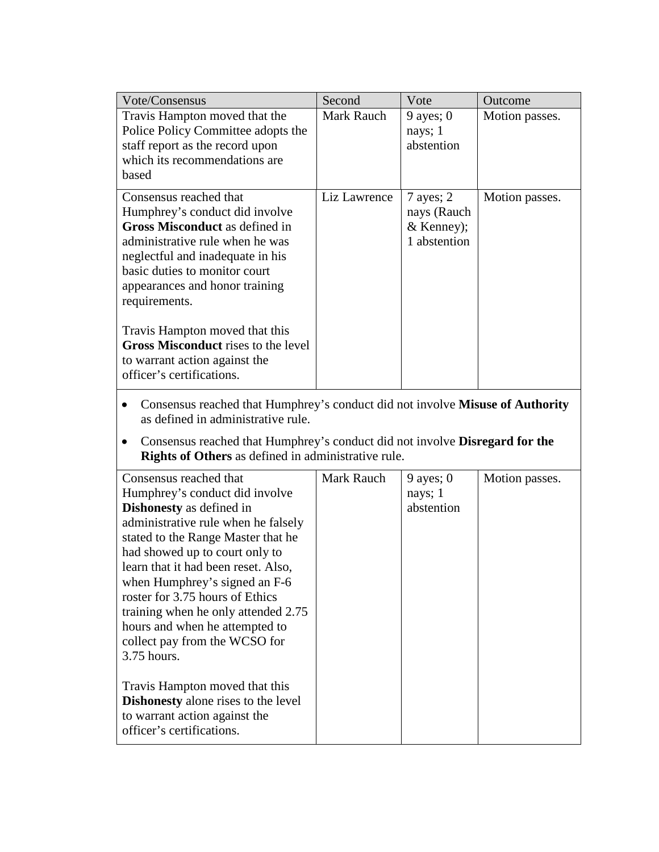| Vote/Consensus                                                                                                                                                                                                                                        | Second       | Vote                                                         | Outcome        |
|-------------------------------------------------------------------------------------------------------------------------------------------------------------------------------------------------------------------------------------------------------|--------------|--------------------------------------------------------------|----------------|
| Travis Hampton moved that the<br>Police Policy Committee adopts the<br>staff report as the record upon<br>which its recommendations are<br>based                                                                                                      | Mark Rauch   | 9 ayes; $0$<br>nays; 1<br>abstention                         | Motion passes. |
| Consensus reached that<br>Humphrey's conduct did involve<br>Gross Misconduct as defined in<br>administrative rule when he was<br>neglectful and inadequate in his<br>basic duties to monitor court<br>appearances and honor training<br>requirements. | Liz Lawrence | $7$ ayes; $2$<br>nays (Rauch<br>$&$ Kenney);<br>1 abstention | Motion passes. |
| Travis Hampton moved that this<br><b>Gross Misconduct</b> rises to the level<br>to warrant action against the<br>officer's certifications.                                                                                                            |              |                                                              |                |

- Consensus reached that Humphrey's conduct did not involve **Misuse of Authority**  as defined in administrative rule.
- Consensus reached that Humphrey's conduct did not involve **Disregard for the Rights of Others** as defined in administrative rule.

| Consensus reached that                     | <b>Mark Rauch</b> | 9 ayes; $0$ | Motion passes. |
|--------------------------------------------|-------------------|-------------|----------------|
| Humphrey's conduct did involve             |                   | nays; 1     |                |
| <b>Dishonesty</b> as defined in            |                   | abstention  |                |
| administrative rule when he falsely        |                   |             |                |
| stated to the Range Master that he         |                   |             |                |
| had showed up to court only to             |                   |             |                |
| learn that it had been reset. Also,        |                   |             |                |
| when Humphrey's signed an F-6              |                   |             |                |
| roster for 3.75 hours of Ethics            |                   |             |                |
| training when he only attended 2.75        |                   |             |                |
| hours and when he attempted to             |                   |             |                |
| collect pay from the WCSO for              |                   |             |                |
| 3.75 hours.                                |                   |             |                |
|                                            |                   |             |                |
| Travis Hampton moved that this             |                   |             |                |
| <b>Dishonesty</b> alone rises to the level |                   |             |                |
| to warrant action against the              |                   |             |                |
| officer's certifications.                  |                   |             |                |
|                                            |                   |             |                |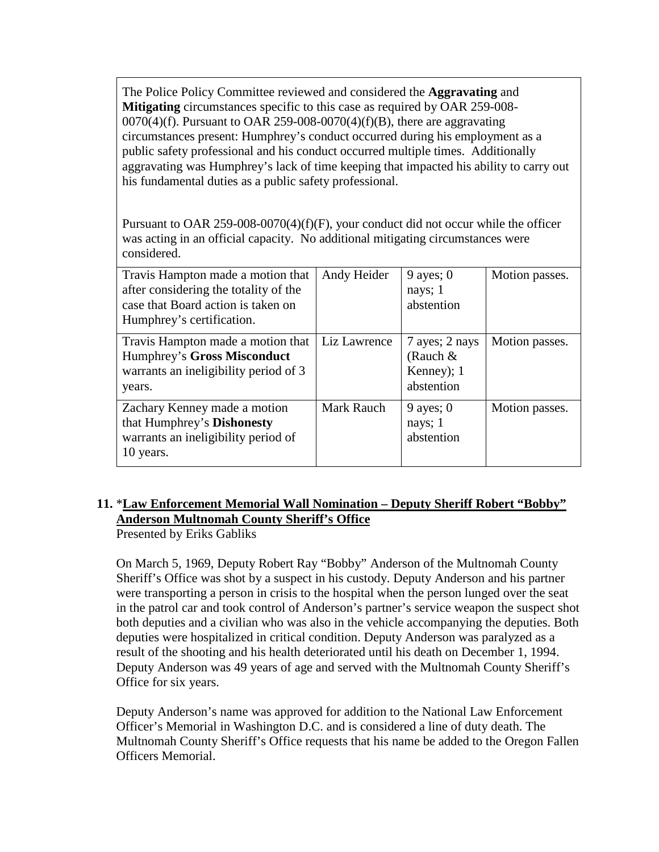The Police Policy Committee reviewed and considered the **Aggravating** and **Mitigating** circumstances specific to this case as required by OAR 259-008-  $0070(4)(f)$ . Pursuant to OAR 259-008-0070(4)(f)(B), there are aggravating circumstances present: Humphrey's conduct occurred during his employment as a public safety professional and his conduct occurred multiple times. Additionally aggravating was Humphrey's lack of time keeping that impacted his ability to carry out his fundamental duties as a public safety professional.

Pursuant to OAR 259-008-0070(4)(f)(F), your conduct did not occur while the officer was acting in an official capacity. No additional mitigating circumstances were considered.

| Travis Hampton made a motion that<br>after considering the totality of the<br>case that Board action is taken on<br>Humphrey's certification. | Andy Heider       | 9 ayes; $0$<br>nays; 1<br>abstention                     | Motion passes. |
|-----------------------------------------------------------------------------------------------------------------------------------------------|-------------------|----------------------------------------------------------|----------------|
| Travis Hampton made a motion that<br>Humphrey's Gross Misconduct<br>warrants an ineligibility period of 3<br>years.                           | Liz Lawrence      | 7 ayes; 2 nays<br>(Rauch $&$<br>Kenney); 1<br>abstention | Motion passes. |
| Zachary Kenney made a motion<br>that Humphrey's Dishonesty<br>warrants an ineligibility period of<br>10 years.                                | <b>Mark Rauch</b> | 9 ayes; $0$<br>nays; 1<br>abstention                     | Motion passes. |

# **11.** \***Law Enforcement Memorial Wall Nomination – Deputy Sheriff Robert "Bobby" Anderson Multnomah County Sheriff's Office**

Presented by Eriks Gabliks

On March 5, 1969, Deputy Robert Ray "Bobby" Anderson of the Multnomah County Sheriff's Office was shot by a suspect in his custody. Deputy Anderson and his partner were transporting a person in crisis to the hospital when the person lunged over the seat in the patrol car and took control of Anderson's partner's service weapon the suspect shot both deputies and a civilian who was also in the vehicle accompanying the deputies. Both deputies were hospitalized in critical condition. Deputy Anderson was paralyzed as a result of the shooting and his health deteriorated until his death on December 1, 1994. Deputy Anderson was 49 years of age and served with the Multnomah County Sheriff's Office for six years.

Deputy Anderson's name was approved for addition to the National Law Enforcement Officer's Memorial in Washington D.C. and is considered a line of duty death. The Multnomah County Sheriff's Office requests that his name be added to the Oregon Fallen Officers Memorial.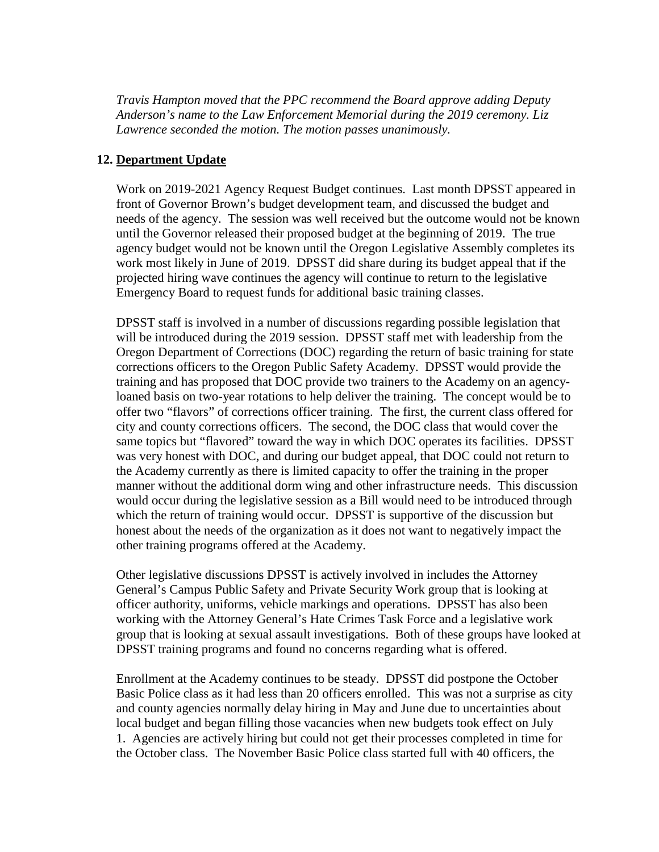*Travis Hampton moved that the PPC recommend the Board approve adding Deputy Anderson's name to the Law Enforcement Memorial during the 2019 ceremony. Liz Lawrence seconded the motion. The motion passes unanimously.*

#### **12. Department Update**

Work on 2019-2021 Agency Request Budget continues. Last month DPSST appeared in front of Governor Brown's budget development team, and discussed the budget and needs of the agency. The session was well received but the outcome would not be known until the Governor released their proposed budget at the beginning of 2019. The true agency budget would not be known until the Oregon Legislative Assembly completes its work most likely in June of 2019. DPSST did share during its budget appeal that if the projected hiring wave continues the agency will continue to return to the legislative Emergency Board to request funds for additional basic training classes.

DPSST staff is involved in a number of discussions regarding possible legislation that will be introduced during the 2019 session. DPSST staff met with leadership from the Oregon Department of Corrections (DOC) regarding the return of basic training for state corrections officers to the Oregon Public Safety Academy. DPSST would provide the training and has proposed that DOC provide two trainers to the Academy on an agencyloaned basis on two-year rotations to help deliver the training. The concept would be to offer two "flavors" of corrections officer training. The first, the current class offered for city and county corrections officers. The second, the DOC class that would cover the same topics but "flavored" toward the way in which DOC operates its facilities. DPSST was very honest with DOC, and during our budget appeal, that DOC could not return to the Academy currently as there is limited capacity to offer the training in the proper manner without the additional dorm wing and other infrastructure needs. This discussion would occur during the legislative session as a Bill would need to be introduced through which the return of training would occur. DPSST is supportive of the discussion but honest about the needs of the organization as it does not want to negatively impact the other training programs offered at the Academy.

Other legislative discussions DPSST is actively involved in includes the Attorney General's Campus Public Safety and Private Security Work group that is looking at officer authority, uniforms, vehicle markings and operations. DPSST has also been working with the Attorney General's Hate Crimes Task Force and a legislative work group that is looking at sexual assault investigations. Both of these groups have looked at DPSST training programs and found no concerns regarding what is offered.

Enrollment at the Academy continues to be steady. DPSST did postpone the October Basic Police class as it had less than 20 officers enrolled. This was not a surprise as city and county agencies normally delay hiring in May and June due to uncertainties about local budget and began filling those vacancies when new budgets took effect on July 1. Agencies are actively hiring but could not get their processes completed in time for the October class. The November Basic Police class started full with 40 officers, the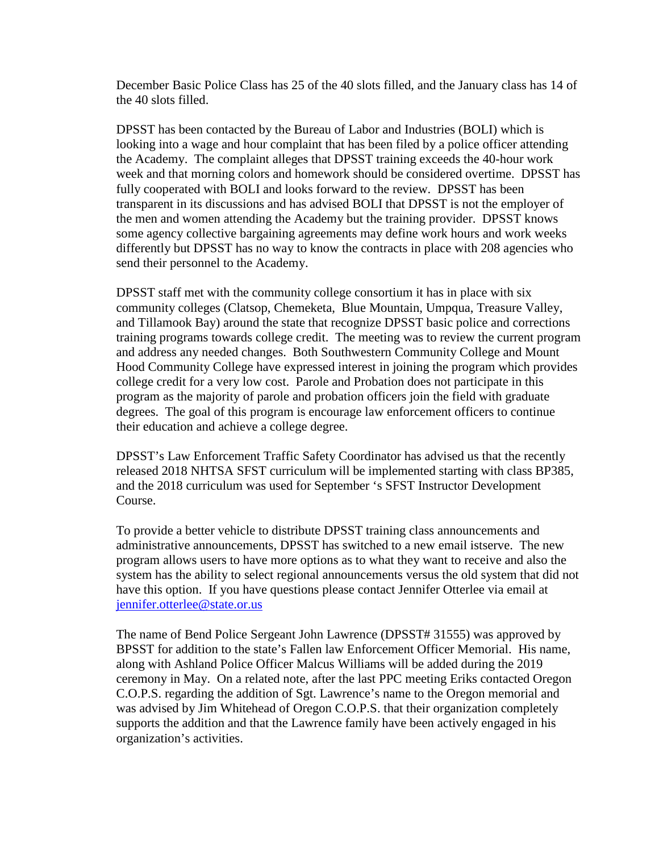December Basic Police Class has 25 of the 40 slots filled, and the January class has 14 of the 40 slots filled.

DPSST has been contacted by the Bureau of Labor and Industries (BOLI) which is looking into a wage and hour complaint that has been filed by a police officer attending the Academy. The complaint alleges that DPSST training exceeds the 40-hour work week and that morning colors and homework should be considered overtime. DPSST has fully cooperated with BOLI and looks forward to the review. DPSST has been transparent in its discussions and has advised BOLI that DPSST is not the employer of the men and women attending the Academy but the training provider. DPSST knows some agency collective bargaining agreements may define work hours and work weeks differently but DPSST has no way to know the contracts in place with 208 agencies who send their personnel to the Academy.

DPSST staff met with the community college consortium it has in place with six community colleges (Clatsop, Chemeketa, Blue Mountain, Umpqua, Treasure Valley, and Tillamook Bay) around the state that recognize DPSST basic police and corrections training programs towards college credit. The meeting was to review the current program and address any needed changes. Both Southwestern Community College and Mount Hood Community College have expressed interest in joining the program which provides college credit for a very low cost. Parole and Probation does not participate in this program as the majority of parole and probation officers join the field with graduate degrees. The goal of this program is encourage law enforcement officers to continue their education and achieve a college degree.

DPSST's Law Enforcement Traffic Safety Coordinator has advised us that the recently released 2018 NHTSA SFST curriculum will be implemented starting with class BP385, and the 2018 curriculum was used for September 's SFST Instructor Development Course.

To provide a better vehicle to distribute DPSST training class announcements and administrative announcements, DPSST has switched to a new email istserve. The new program allows users to have more options as to what they want to receive and also the system has the ability to select regional announcements versus the old system that did not have this option. If you have questions please contact Jennifer Otterlee via email at [jennifer.otterlee@state.or.us](mailto:jennifer.otterlee@state.or.us)

The name of Bend Police Sergeant John Lawrence (DPSST# 31555) was approved by BPSST for addition to the state's Fallen law Enforcement Officer Memorial. His name, along with Ashland Police Officer Malcus Williams will be added during the 2019 ceremony in May. On a related note, after the last PPC meeting Eriks contacted Oregon C.O.P.S. regarding the addition of Sgt. Lawrence's name to the Oregon memorial and was advised by Jim Whitehead of Oregon C.O.P.S. that their organization completely supports the addition and that the Lawrence family have been actively engaged in his organization's activities.